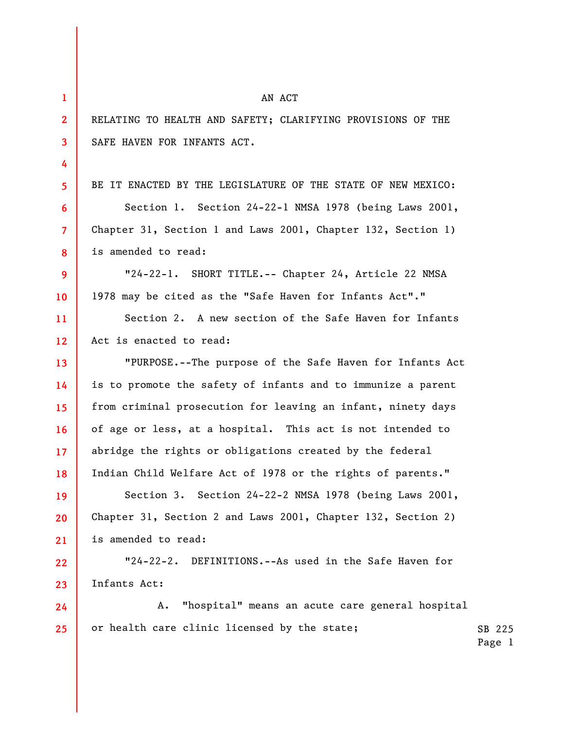| $\mathbf{1}$            | AN ACT                                                       |                  |
|-------------------------|--------------------------------------------------------------|------------------|
| $\mathbf{2}$            | RELATING TO HEALTH AND SAFETY; CLARIFYING PROVISIONS OF THE  |                  |
| $\overline{\mathbf{3}}$ | SAFE HAVEN FOR INFANTS ACT.                                  |                  |
| 4                       |                                                              |                  |
| 5 <sup>1</sup>          | BE IT ENACTED BY THE LEGISLATURE OF THE STATE OF NEW MEXICO: |                  |
| 6                       | Section 1. Section 24-22-1 NMSA 1978 (being Laws 2001,       |                  |
| $\overline{7}$          | Chapter 31, Section 1 and Laws 2001, Chapter 132, Section 1) |                  |
| 8                       | is amended to read:                                          |                  |
| 9                       | "24-22-1. SHORT TITLE.-- Chapter 24, Article 22 NMSA         |                  |
| 10                      | 1978 may be cited as the "Safe Haven for Infants Act"."      |                  |
| 11                      | Section 2. A new section of the Safe Haven for Infants       |                  |
| 12 <sup>2</sup>         | Act is enacted to read:                                      |                  |
| 13                      | "PURPOSE.--The purpose of the Safe Haven for Infants Act     |                  |
| 14                      | is to promote the safety of infants and to immunize a parent |                  |
| 15                      | from criminal prosecution for leaving an infant, ninety days |                  |
| 16                      | of age or less, at a hospital. This act is not intended to   |                  |
| 17 <sup>2</sup>         | abridge the rights or obligations created by the federal     |                  |
| 18                      | Indian Child Welfare Act of 1978 or the rights of parents."  |                  |
| 19                      | Section 3. Section 24-22-2 NMSA 1978 (being Laws 2001,       |                  |
| 20                      | Chapter 31, Section 2 and Laws 2001, Chapter 132, Section 2) |                  |
| 21                      | is amended to read:                                          |                  |
| 22                      | "24-22-2. DEFINITIONS.--As used in the Safe Haven for        |                  |
| 23                      | Infants Act:                                                 |                  |
| 24                      | "hospital" means an acute care general hospital<br>A.        |                  |
| 25                      | or health care clinic licensed by the state;                 | SB 225<br>Page 1 |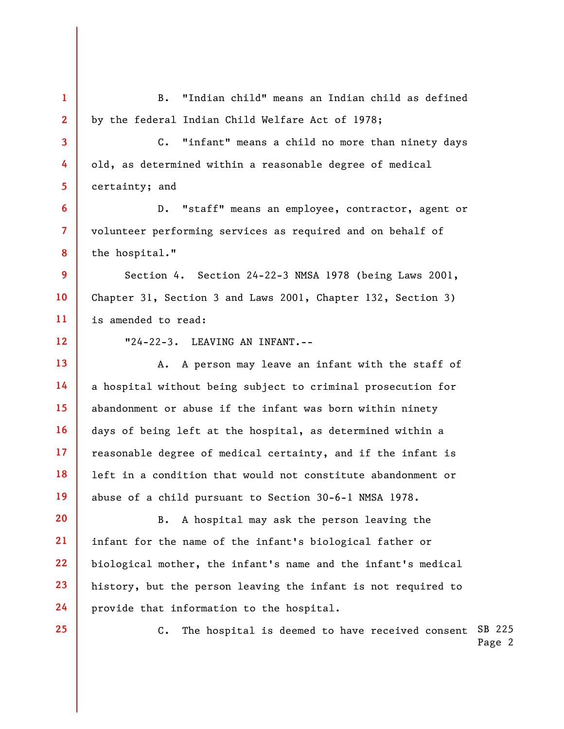C. The hospital is deemed to have received consent SB 225 **1 2 3 4 5 6 7 8 9 10 11 12 13 14 15 16 17 18 19 20 21 22 23 24 25**  B. "Indian child" means an Indian child as defined by the federal Indian Child Welfare Act of 1978; C. "infant" means a child no more than ninety days old, as determined within a reasonable degree of medical certainty; and D. "staff" means an employee, contractor, agent or volunteer performing services as required and on behalf of the hospital." Section 4. Section 24-22-3 NMSA 1978 (being Laws 2001, Chapter 31, Section 3 and Laws 2001, Chapter 132, Section 3) is amended to read: "24-22-3. LEAVING AN INFANT.-- A. A person may leave an infant with the staff of a hospital without being subject to criminal prosecution for abandonment or abuse if the infant was born within ninety days of being left at the hospital, as determined within a reasonable degree of medical certainty, and if the infant is left in a condition that would not constitute abandonment or abuse of a child pursuant to Section 30-6-1 NMSA 1978. B. A hospital may ask the person leaving the infant for the name of the infant's biological father or biological mother, the infant's name and the infant's medical history, but the person leaving the infant is not required to provide that information to the hospital.

Page 2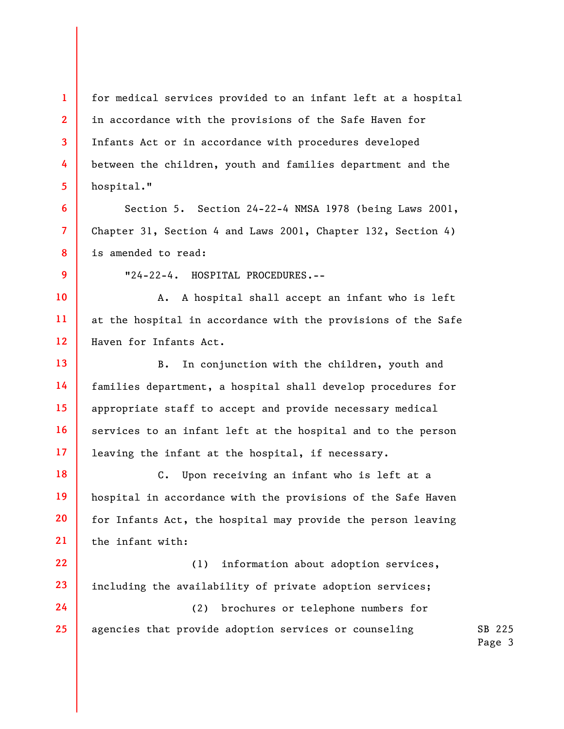for medical services provided to an infant left at a hospital in accordance with the provisions of the Safe Haven for Infants Act or in accordance with procedures developed between the children, youth and families department and the hospital."

Section 5. Section 24-22-4 NMSA 1978 (being Laws 2001, Chapter 31, Section 4 and Laws 2001, Chapter 132, Section 4) is amended to read:

**9** 

**10** 

**24** 

**25** 

**1** 

**2** 

**3** 

**4** 

**5** 

**6** 

**7** 

**8** 

"24-22-4. HOSPITAL PROCEDURES.--

**11 12**  A. A hospital shall accept an infant who is left at the hospital in accordance with the provisions of the Safe Haven for Infants Act.

**13 14 15 16 17**  B. In conjunction with the children, youth and families department, a hospital shall develop procedures for appropriate staff to accept and provide necessary medical services to an infant left at the hospital and to the person leaving the infant at the hospital, if necessary.

**18 19 20 21**  C. Upon receiving an infant who is left at a hospital in accordance with the provisions of the Safe Haven for Infants Act, the hospital may provide the person leaving the infant with:

**22 23**  (1) information about adoption services, including the availability of private adoption services;

(2) brochures or telephone numbers for agencies that provide adoption services or counseling

SB 225 Page 3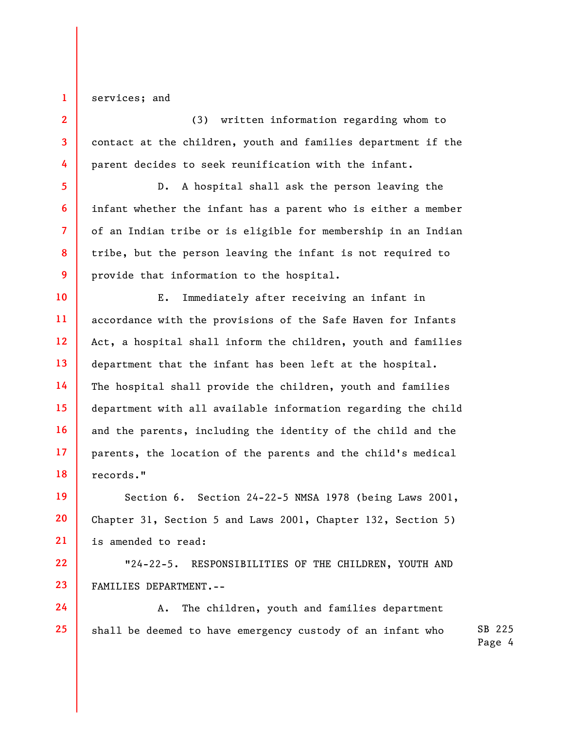services; and

**1** 

**2** 

**3** 

**4** 

**5** 

**6** 

**7** 

**8** 

**9** 

**24** 

**25** 

(3) written information regarding whom to contact at the children, youth and families department if the parent decides to seek reunification with the infant.

D. A hospital shall ask the person leaving the infant whether the infant has a parent who is either a member of an Indian tribe or is eligible for membership in an Indian tribe, but the person leaving the infant is not required to provide that information to the hospital.

**10 11 12 13 14 15 16 17 18**  E. Immediately after receiving an infant in accordance with the provisions of the Safe Haven for Infants Act, a hospital shall inform the children, youth and families department that the infant has been left at the hospital. The hospital shall provide the children, youth and families department with all available information regarding the child and the parents, including the identity of the child and the parents, the location of the parents and the child's medical records."

**19 20 21**  Section 6. Section 24-22-5 NMSA 1978 (being Laws 2001, Chapter 31, Section 5 and Laws 2001, Chapter 132, Section 5) is amended to read:

**22 23**  "24-22-5. RESPONSIBILITIES OF THE CHILDREN, YOUTH AND FAMILIES DEPARTMENT.--

SB 225 A. The children, youth and families department shall be deemed to have emergency custody of an infant who

Page 4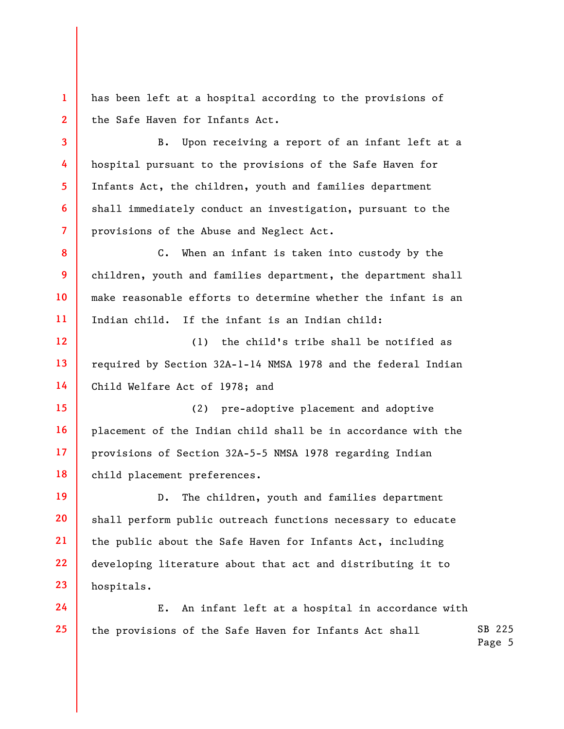**1 2**  has been left at a hospital according to the provisions of the Safe Haven for Infants Act.

**3** 

**4** 

**5** 

**6** 

**7** 

**8** 

**9** 

**10** 

**11** 

B. Upon receiving a report of an infant left at a hospital pursuant to the provisions of the Safe Haven for Infants Act, the children, youth and families department shall immediately conduct an investigation, pursuant to the provisions of the Abuse and Neglect Act.

C. When an infant is taken into custody by the children, youth and families department, the department shall make reasonable efforts to determine whether the infant is an Indian child. If the infant is an Indian child:

**12 13 14**  (1) the child's tribe shall be notified as required by Section 32A-1-14 NMSA 1978 and the federal Indian Child Welfare Act of 1978; and

**15 16 17 18**  (2) pre-adoptive placement and adoptive placement of the Indian child shall be in accordance with the provisions of Section 32A-5-5 NMSA 1978 regarding Indian child placement preferences.

**19 20 21 22 23**  D. The children, youth and families department shall perform public outreach functions necessary to educate the public about the Safe Haven for Infants Act, including developing literature about that act and distributing it to hospitals.

SB 225 Page 5 **24 25**  E. An infant left at a hospital in accordance with the provisions of the Safe Haven for Infants Act shall